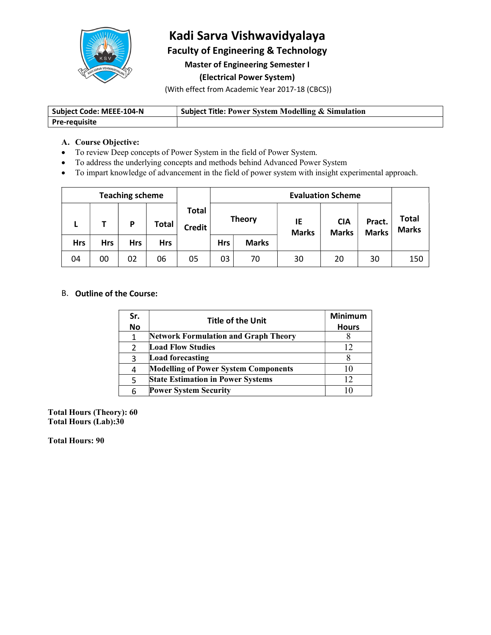

# Kadi Sarva Vishwavidyalaya

Faculty of Engineering & Technology

Master of Engineering Semester I

(Electrical Power System)

(With effect from Academic Year 2017-18 (CBCS))

| Subject Code: MEEE-104-N | <b>Subject Title: Power System Modelling &amp; Simulation</b> |
|--------------------------|---------------------------------------------------------------|
| Pre-requisite            |                                                               |

#### A. Course Objective:

- To review Deep concepts of Power System in the field of Power System.
- To address the underlying concepts and methods behind Advanced Power System
- To impart knowledge of advancement in the field of power system with insight experimental approach.

| <b>Teaching scheme</b> |     |            |            | <b>Evaluation Scheme</b>      |            |               |                    |                            |                        |                       |
|------------------------|-----|------------|------------|-------------------------------|------------|---------------|--------------------|----------------------------|------------------------|-----------------------|
| -                      |     | D          | Total      | <b>Total</b><br><b>Credit</b> |            | <b>Theory</b> | IE<br><b>Marks</b> | <b>CIA</b><br><b>Marks</b> | Pract.<br><b>Marks</b> | Total<br><b>Marks</b> |
| <b>Hrs</b>             | Hrs | <b>Hrs</b> | <b>Hrs</b> |                               | <b>Hrs</b> | <b>Marks</b>  |                    |                            |                        |                       |
| 04                     | 00  | 02         | 06         | 05                            | 03         | 70            | 30                 | 20                         | 30                     | 150                   |

## B. Outline of the Course:

| Sr.       | <b>Title of the Unit</b>                    | <b>Minimum</b> |
|-----------|---------------------------------------------|----------------|
| <b>No</b> |                                             | <b>Hours</b>   |
|           | <b>Network Formulation and Graph Theory</b> |                |
|           | <b>Load Flow Studies</b>                    | $\overline{2}$ |
|           | Load forecasting                            |                |
| 4         | <b>Modelling of Power System Components</b> | $\theta$       |
| 5         | <b>State Estimation in Power Systems</b>    | 2              |
| 6         | <b>Power System Security</b>                | 10             |

Total Hours (Theory): 60 Total Hours (Lab):30

Total Hours: 90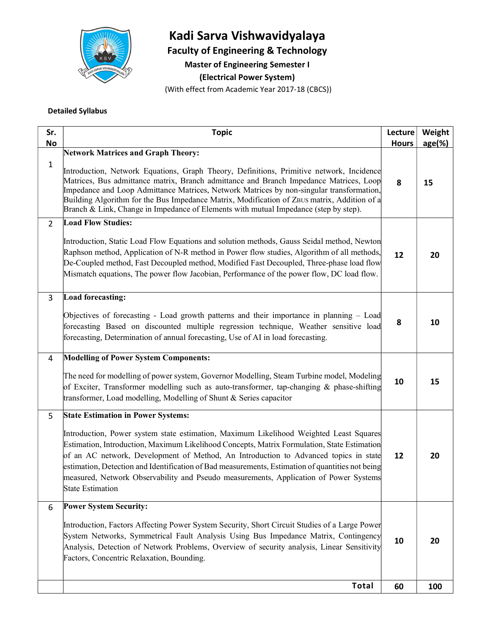

# Kadi Sarva Vishwavidyalaya

Faculty of Engineering & Technology

Master of Engineering Semester I

(Electrical Power System)

(With effect from Academic Year 2017-18 (CBCS))

#### Detailed Syllabus

| Sr.<br><b>No</b> | <b>Topic</b>                                                                                                                                                                                                                                                                                                                                                                                                                                                                                   | Lecture<br><b>Hours</b> | Weight<br>$age(\%)$ |
|------------------|------------------------------------------------------------------------------------------------------------------------------------------------------------------------------------------------------------------------------------------------------------------------------------------------------------------------------------------------------------------------------------------------------------------------------------------------------------------------------------------------|-------------------------|---------------------|
|                  | <b>Network Matrices and Graph Theory:</b>                                                                                                                                                                                                                                                                                                                                                                                                                                                      |                         |                     |
| 1                | Introduction, Network Equations, Graph Theory, Definitions, Primitive network, Incidence<br>Matrices, Bus admittance matrix, Branch admittance and Branch Impedance Matrices, Loop<br>Impedance and Loop Admittance Matrices, Network Matrices by non-singular transformation,<br>Building Algorithm for the Bus Impedance Matrix, Modification of ZBUS matrix, Addition of a<br>Branch & Link, Change in Impedance of Elements with mutual Impedance (step by step).                          | 8                       | 15                  |
| $2^{\circ}$      | <b>Load Flow Studies:</b>                                                                                                                                                                                                                                                                                                                                                                                                                                                                      |                         |                     |
|                  | Introduction, Static Load Flow Equations and solution methods, Gauss Seidal method, Newton<br>Raphson method, Application of N-R method in Power flow studies, Algorithm of all methods,<br>De-Coupled method, Fast Decoupled method, Modified Fast Decoupled, Three-phase load flow<br>Mismatch equations, The power flow Jacobian, Performance of the power flow, DC load flow.                                                                                                              | 12                      | 20                  |
| 3                | <b>Load forecasting:</b>                                                                                                                                                                                                                                                                                                                                                                                                                                                                       |                         |                     |
|                  | Objectives of forecasting - Load growth patterns and their importance in planning – Load<br>forecasting Based on discounted multiple regression technique, Weather sensitive load<br>forecasting, Determination of annual forecasting, Use of AI in load forecasting.                                                                                                                                                                                                                          | 8                       | 10                  |
| 4                | <b>Modelling of Power System Components:</b>                                                                                                                                                                                                                                                                                                                                                                                                                                                   |                         |                     |
|                  | The need for modelling of power system, Governor Modelling, Steam Turbine model, Modeling<br>of Exciter, Transformer modelling such as auto-transformer, tap-changing $\&$ phase-shifting<br>transformer, Load modelling, Modelling of Shunt & Series capacitor                                                                                                                                                                                                                                | 10                      | 15                  |
| 5                | <b>State Estimation in Power Systems:</b>                                                                                                                                                                                                                                                                                                                                                                                                                                                      |                         |                     |
|                  | Introduction, Power system state estimation, Maximum Likelihood Weighted Least Squares<br>Estimation, Introduction, Maximum Likelihood Concepts, Matrix Formulation, State Estimation<br>of an AC network, Development of Method, An Introduction to Advanced topics in state<br>estimation, Detection and Identification of Bad measurements, Estimation of quantities not being<br>measured, Network Observability and Pseudo measurements, Application of Power Systems<br>State Estimation | 12                      | 20                  |
| 6                | <b>Power System Security:</b>                                                                                                                                                                                                                                                                                                                                                                                                                                                                  |                         |                     |
|                  | Introduction, Factors Affecting Power System Security, Short Circuit Studies of a Large Power<br>System Networks, Symmetrical Fault Analysis Using Bus Impedance Matrix, Contingency<br>Analysis, Detection of Network Problems, Overview of security analysis, Linear Sensitivity<br>Factors, Concentric Relaxation, Bounding.                                                                                                                                                                | 10                      | 20                  |
|                  | <b>Total</b>                                                                                                                                                                                                                                                                                                                                                                                                                                                                                   | 60                      | 100                 |
|                  |                                                                                                                                                                                                                                                                                                                                                                                                                                                                                                |                         |                     |